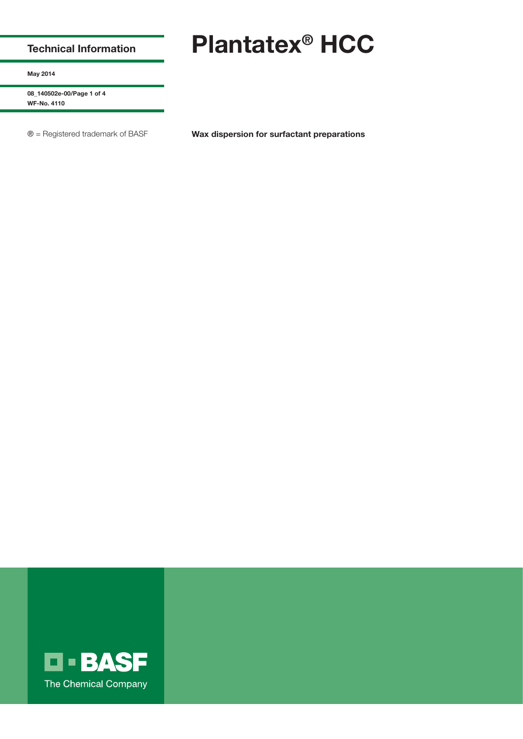## **Technical Information**

# **Plantatex® HCC**

**May 2014**

**08\_140502e-00/Page 1 of 4 WF-No. 4110**

® = Registered trademark of BASF **Wax dispersion for surfactant preparations** 

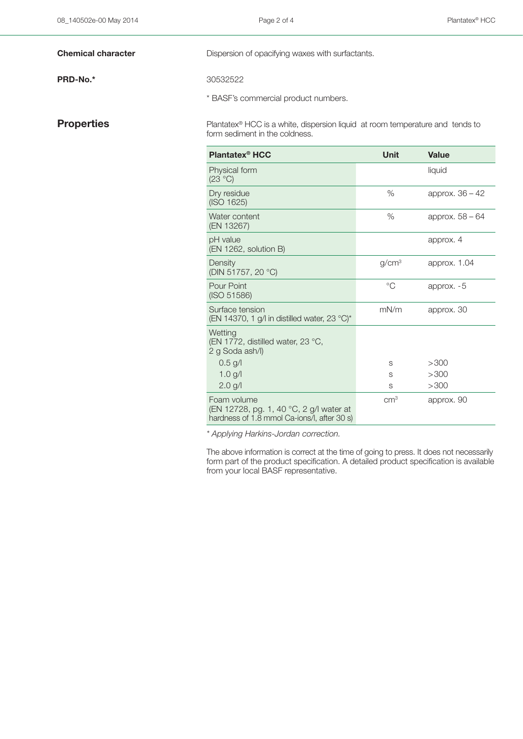### **PRD-No.\*** 30532522

**Chemical character** Dispersion of opacifying waxes with surfactants.

\* BASF's commercial product numbers.

**Properties** Plantatex<sup>®</sup> HCC is a white, dispersion liquid at room temperature and tends to form sediment in the coldness.

| <b>Plantatex<sup>®</sup> HCC</b>                                                                      | Unit              | <b>Value</b>      |
|-------------------------------------------------------------------------------------------------------|-------------------|-------------------|
| Physical form<br>(23 °C)                                                                              |                   | liquid            |
| Dry residue<br>(ISO 1625)                                                                             | %                 | approx. $36 - 42$ |
| Water content<br>(EN 13267)                                                                           | %                 | approx. $58 - 64$ |
| pH value<br>(EN 1262, solution B)                                                                     |                   | approx. 4         |
| Density<br>(DIN 51757, 20 °C)                                                                         | g/cm <sup>3</sup> | approx. 1.04      |
| Pour Point<br>(ISO 51586)                                                                             | $^{\circ}C$       | approx. $-5$      |
| Surface tension<br>(EN 14370, 1 g/l in distilled water, 23 °C)*                                       | mN/m              | approx. 30        |
| Wetting<br>(EN 1772, distilled water, 23 °C,<br>2 g Soda ash/l)                                       |                   |                   |
| $0.5$ g/l                                                                                             | S                 | >300              |
| 1.0 $g/l$                                                                                             | S                 | >300              |
| $2.0$ g/l                                                                                             | S                 | >300              |
| Foam volume<br>(EN 12728, pg. 1, 40 °C, 2 g/l water at<br>hardness of 1.8 mmol Ca-ions/l, after 30 s) | $\text{cm}^3$     | approx. 90        |

*\* Applying Harkins-Jordan correction.*

The above information is correct at the time of going to press. It does not necessarily form part of the product specification. A detailed product specification is available from your local BASF representative.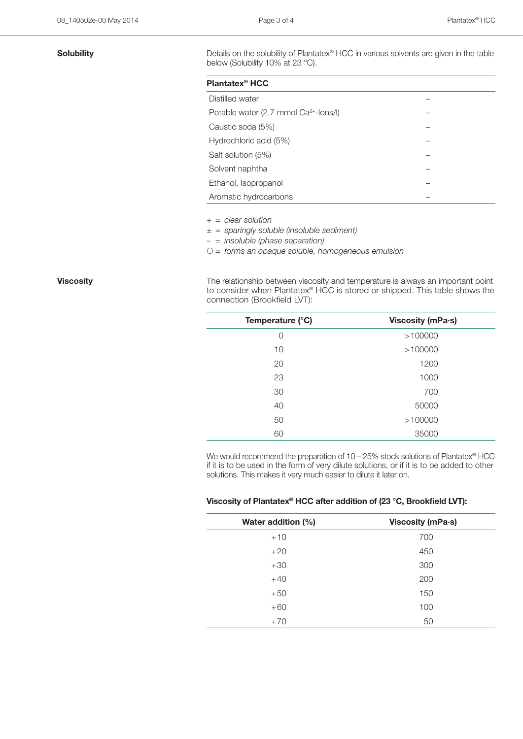| Plantatex <sup>®</sup> HCC                        |  |
|---------------------------------------------------|--|
| Distilled water                                   |  |
| Potable water (2.7 mmol Ca <sup>2+</sup> -lons/l) |  |
| Caustic soda (5%)                                 |  |
| Hydrochloric acid (5%)                            |  |
| Salt solution (5%)                                |  |
| Solvent naphtha                                   |  |
| Ethanol, Isopropanol                              |  |
| Aromatic hydrocarbons                             |  |

*+ = clear solution*

*± = sparingly soluble (insoluble sediment)*

*– = insoluble (phase separation)*

*= forms an opaque soluble, homogeneous emulsion*

**Viscosity Viscosity The relationship between viscosity and temperature is always an important point** to consider when Plantatex® HCC is stored or shipped. This table shows the connection (Brookfield LVT):

| Temperature (°C) | Viscosity (mPa·s) |
|------------------|-------------------|
| 0                | >100000           |
| 10               | >100000           |
| 20               | 1200              |
| 23               | 1000              |
| 30               | 700               |
| 40               | 50000             |
| 50               | >100000           |
| 60               | 35000             |

We would recommend the preparation of 10 – 25% stock solutions of Plantatex® HCC if it is to be used in the form of very dilute solutions, or if it is to be added to other solutions. This makes it very much easier to dilute it later on.

## **Viscosity of Plantatex® HCC after addition of (23 °C, Brookfield LVT):**

| Water addition (%) | Viscosity (mPa·s) |
|--------------------|-------------------|
| $+10$              | 700               |
| $+20$              | 450               |
| $+30$              | 300               |
| $+40$              | 200               |
| $+50$              | 150               |
| $+60$              | 100               |
| $+70$              | 50                |